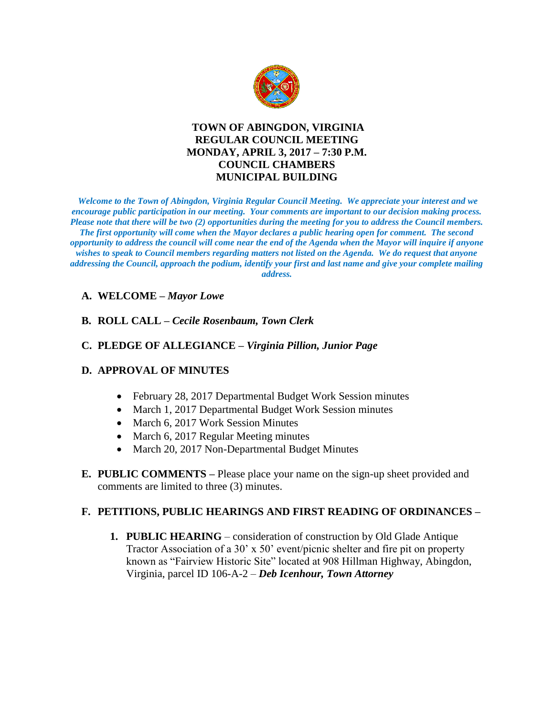

# **TOWN OF ABINGDON, VIRGINIA REGULAR COUNCIL MEETING MONDAY, APRIL 3, 2017 – 7:30 P.M. COUNCIL CHAMBERS MUNICIPAL BUILDING**

*Welcome to the Town of Abingdon, Virginia Regular Council Meeting. We appreciate your interest and we encourage public participation in our meeting. Your comments are important to our decision making process. Please note that there will be two (2) opportunities during the meeting for you to address the Council members. The first opportunity will come when the Mayor declares a public hearing open for comment. The second opportunity to address the council will come near the end of the Agenda when the Mayor will inquire if anyone wishes to speak to Council members regarding matters not listed on the Agenda. We do request that anyone addressing the Council, approach the podium, identify your first and last name and give your complete mailing address.* 

# **A. WELCOME –** *Mayor Lowe*

#### **B. ROLL CALL –** *Cecile Rosenbaum, Town Clerk*

#### **C. PLEDGE OF ALLEGIANCE –** *Virginia Pillion, Junior Page*

#### **D. APPROVAL OF MINUTES**

- February 28, 2017 Departmental Budget Work Session minutes
- March 1, 2017 Departmental Budget Work Session minutes
- March 6, 2017 Work Session Minutes
- March 6, 2017 Regular Meeting minutes
- March 20, 2017 Non-Departmental Budget Minutes
- **E. PUBLIC COMMENTS –** Please place your name on the sign-up sheet provided and comments are limited to three (3) minutes.

#### **F. PETITIONS, PUBLIC HEARINGS AND FIRST READING OF ORDINANCES –**

**1. PUBLIC HEARING** – consideration of construction by Old Glade Antique Tractor Association of a 30' x 50' event/picnic shelter and fire pit on property known as "Fairview Historic Site" located at 908 Hillman Highway, Abingdon, Virginia, parcel ID 106-A-2 – *Deb Icenhour, Town Attorney*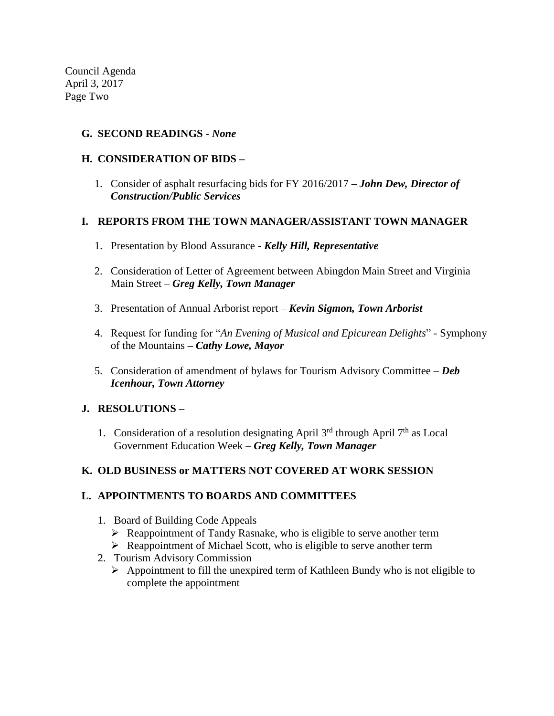Council Agenda April 3, 2017 Page Two

## **G. SECOND READINGS -** *None*

## **H. CONSIDERATION OF BIDS –**

1. Consider of asphalt resurfacing bids for FY 2016/2017 **–** *John Dew, Director of Construction/Public Services*

#### **I. REPORTS FROM THE TOWN MANAGER/ASSISTANT TOWN MANAGER**

- 1. Presentation by Blood Assurance **-** *Kelly Hill, Representative*
- 2. Consideration of Letter of Agreement between Abingdon Main Street and Virginia Main Street – *Greg Kelly, Town Manager*
- 3. Presentation of Annual Arborist report *Kevin Sigmon, Town Arborist*
- 4. Request for funding for "*An Evening of Musical and Epicurean Delights*" Symphony of the Mountains **–** *Cathy Lowe, Mayor*
- 5. Consideration of amendment of bylaws for Tourism Advisory Committee *Deb Icenhour, Town Attorney*

# **J. RESOLUTIONS –**

1. Consideration of a resolution designating April  $3<sup>rd</sup>$  through April  $7<sup>th</sup>$  as Local Government Education Week – *Greg Kelly, Town Manager*

# **K. OLD BUSINESS or MATTERS NOT COVERED AT WORK SESSION**

# **L. APPOINTMENTS TO BOARDS AND COMMITTEES**

- 1. Board of Building Code Appeals
	- $\triangleright$  Reappointment of Tandy Rasnake, who is eligible to serve another term
	- Reappointment of Michael Scott, who is eligible to serve another term
- 2. Tourism Advisory Commission
	- $\triangleright$  Appointment to fill the unexpired term of Kathleen Bundy who is not eligible to complete the appointment